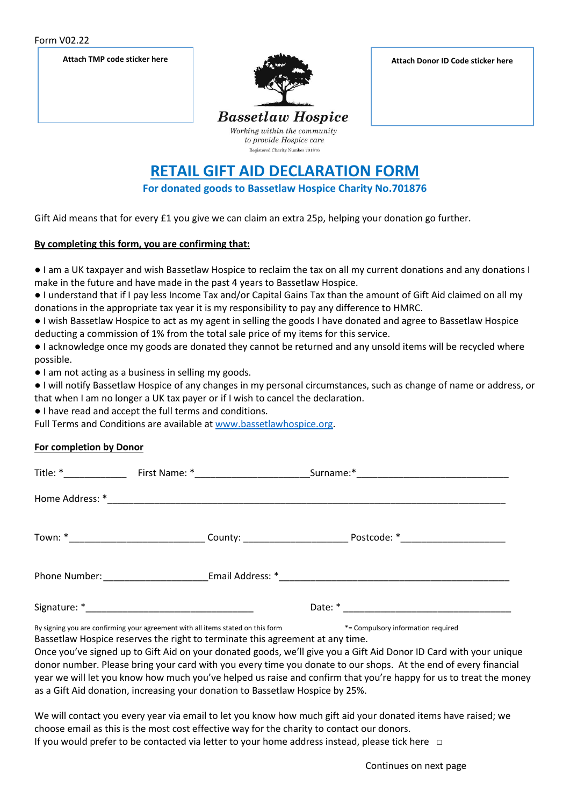Form V02.22



## **RETAIL GIFT AID DECLARATION FORM**

**For donated goods to Bassetlaw Hospice Charity No.701876**

Gift Aid means that for every £1 you give we can claim an extra 25p, helping your donation go further.

## **By completing this form, you are confirming that:**

● I am a UK taxpayer and wish Bassetlaw Hospice to reclaim the tax on all my current donations and any donations I make in the future and have made in the past 4 years to Bassetlaw Hospice.

● I understand that if I pay less Income Tax and/or Capital Gains Tax than the amount of Gift Aid claimed on all my donations in the appropriate tax year it is my responsibility to pay any difference to HMRC.

● I wish Bassetlaw Hospice to act as my agent in selling the goods I have donated and agree to Bassetlaw Hospice deducting a commission of 1% from the total sale price of my items for this service.

● I acknowledge once my goods are donated they cannot be returned and any unsold items will be recycled where possible.

● I am not acting as a business in selling my goods.

● I will notify Bassetlaw Hospice of any changes in my personal circumstances, such as change of name or address, or that when I am no longer a UK tax payer or if I wish to cancel the declaration.

● I have read and accept the full terms and conditions.

Full Terms and Conditions are available at [www.bassetlawhospice.org.](http://www.bassetlawhospice.org/)

## **For completion by Donor**

| By signing you are confirming your agreement with all items stated on this form |  |  | *= Compulsory information required |
|---------------------------------------------------------------------------------|--|--|------------------------------------|

Bassetlaw Hospice reserves the right to terminate this agreement at any time.

Once you've signed up to Gift Aid on your donated goods, we'll give you a Gift Aid Donor ID Card with your unique donor number. Please bring your card with you every time you donate to our shops. At the end of every financial year we will let you know how much you've helped us raise and confirm that you're happy for us to treat the money as a Gift Aid donation, increasing your donation to Bassetlaw Hospice by 25%.

We will contact you every year via email to let you know how much gift aid your donated items have raised; we choose email as this is the most cost effective way for the charity to contact our donors. If you would prefer to be contacted via letter to your home address instead, please tick here □